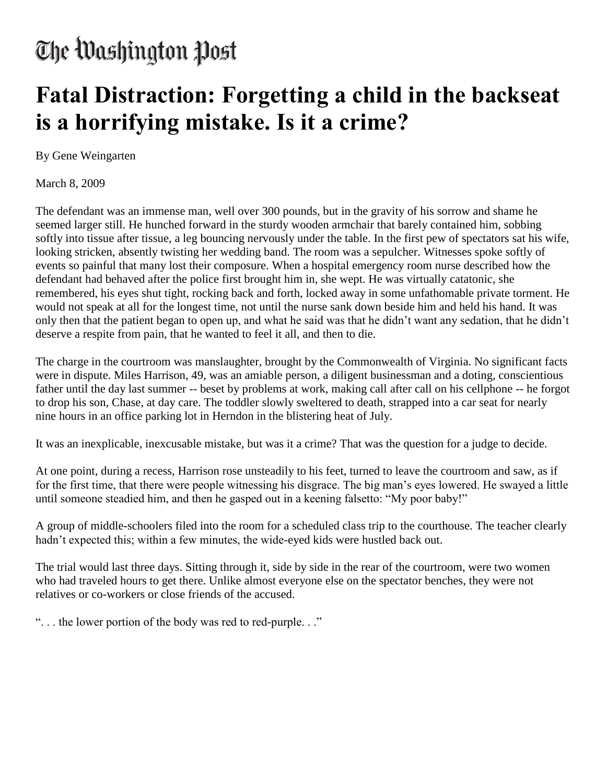## The Washington Post

## **Fatal Distraction: Forgetting a child in the backseat is a horrifying mistake. Is it a crime?**

By Gene Weingarten

March 8, 2009

The defendant was an immense man, well over 300 pounds, but in the gravity of his sorrow and shame he seemed larger still. He hunched forward in the sturdy wooden armchair that barely contained him, sobbing softly into tissue after tissue, a leg bouncing nervously under the table. In the first pew of spectators sat his wife, looking stricken, absently twisting her wedding band. The room was a sepulcher. Witnesses spoke softly of events so painful that many lost their composure. When a hospital emergency room nurse described how the defendant had behaved after the police first brought him in, she wept. He was virtually catatonic, she remembered, his eyes shut tight, rocking back and forth, locked away in some unfathomable private torment. He would not speak at all for the longest time, not until the nurse sank down beside him and held his hand. It was only then that the patient began to open up, and what he said was that he didn't want any sedation, that he didn't deserve a respite from pain, that he wanted to feel it all, and then to die.

The charge in the courtroom was manslaughter, brought by the Commonwealth of Virginia. No significant facts were in dispute. Miles Harrison, 49, was an amiable person, a diligent businessman and a doting, conscientious father until the day last summer -- beset by problems at work, making call after call on his cellphone -- he forgot to drop his son, Chase, at day care. The toddler slowly sweltered to death, strapped into a car seat for nearly nine hours in an office parking lot in Herndon in the blistering heat of July.

It was an inexplicable, inexcusable mistake, but was it a crime? That was the question for a judge to decide.

At one point, during a recess, Harrison rose unsteadily to his feet, turned to leave the courtroom and saw, as if for the first time, that there were people witnessing his disgrace. The big man's eyes lowered. He swayed a little until someone steadied him, and then he gasped out in a keening falsetto: "My poor baby!"

A group of middle-schoolers filed into the room for a scheduled class trip to the courthouse. The teacher clearly hadn't expected this; within a few minutes, the wide-eyed kids were hustled back out.

The trial would last three days. Sitting through it, side by side in the rear of the courtroom, were two women who had traveled hours to get there. Unlike almost everyone else on the spectator benches, they were not relatives or co-workers or close friends of the accused.

". . . the lower portion of the body was red to red-purple. . ."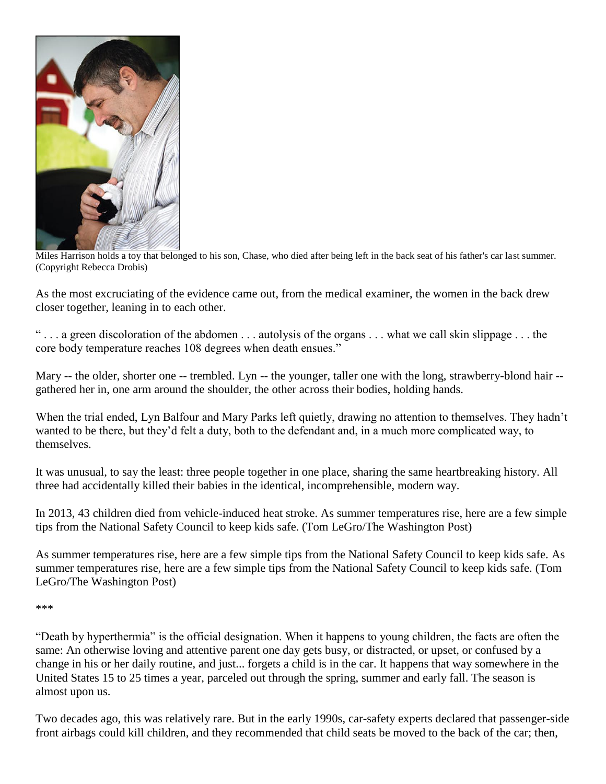

Miles Harrison holds a toy that belonged to his son, Chase, who died after being left in the back seat of his father's car last summer. (Copyright Rebecca Drobis)

As the most excruciating of the evidence came out, from the medical examiner, the women in the back drew closer together, leaning in to each other.

" $\ldots$  a green discoloration of the abdomen  $\ldots$  autolysis of the organs  $\ldots$  what we call skin slippage  $\ldots$  the core body temperature reaches 108 degrees when death ensues."

Mary -- the older, shorter one -- trembled. Lyn -- the younger, taller one with the long, strawberry-blond hair -gathered her in, one arm around the shoulder, the other across their bodies, holding hands.

When the trial ended, Lyn Balfour and Mary Parks left quietly, drawing no attention to themselves. They hadn't wanted to be there, but they'd felt a duty, both to the defendant and, in a much more complicated way, to themselves.

It was unusual, to say the least: three people together in one place, sharing the same heartbreaking history. All three had accidentally killed their babies in the identical, incomprehensible, modern way.

In 2013, 43 children died from vehicle-induced heat stroke. As summer temperatures rise, here are a few simple tips from the National Safety Council to keep kids safe. (Tom LeGro/The Washington Post)

As summer temperatures rise, here are a few simple tips from the National Safety Council to keep kids safe. As summer temperatures rise, here are a few simple tips from the National Safety Council to keep kids safe. (Tom LeGro/The Washington Post)

\*\*\*

"Death by hyperthermia" is the official designation. When it happens to young children, the facts are often the same: An otherwise loving and attentive parent one day gets busy, or distracted, or upset, or confused by a change in his or her daily routine, and just... forgets a child is in the car. It happens that way somewhere in the United States 15 to 25 times a year, parceled out through the spring, summer and early fall. The season is almost upon us.

Two decades ago, this was relatively rare. But in the early 1990s, car-safety experts declared that passenger-side front airbags could kill children, and they recommended that child seats be moved to the back of the car; then,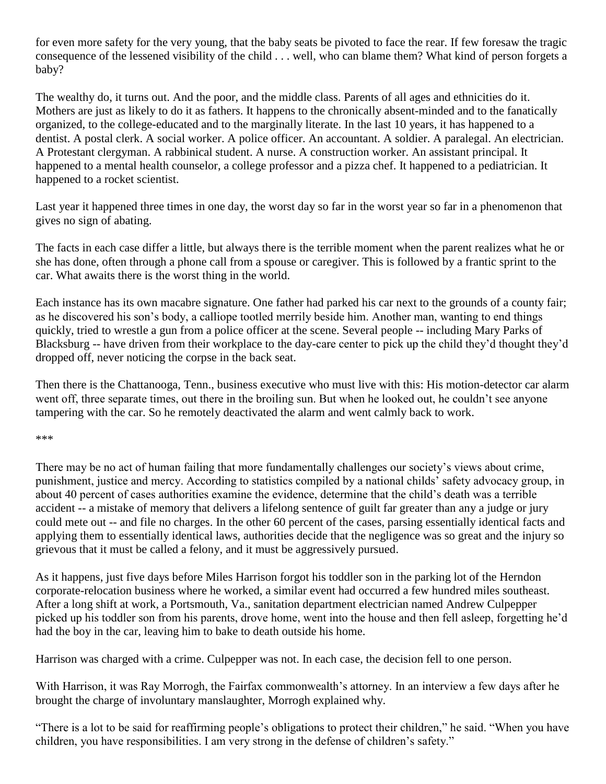for even more safety for the very young, that the baby seats be pivoted to face the rear. If few foresaw the tragic consequence of the lessened visibility of the child . . . well, who can blame them? What kind of person forgets a baby?

The wealthy do, it turns out. And the poor, and the middle class. Parents of all ages and ethnicities do it. Mothers are just as likely to do it as fathers. It happens to the chronically absent-minded and to the fanatically organized, to the college-educated and to the marginally literate. In the last 10 years, it has happened to a dentist. A postal clerk. A social worker. A police officer. An accountant. A soldier. A paralegal. An electrician. A Protestant clergyman. A rabbinical student. A nurse. A construction worker. An assistant principal. It happened to a mental health counselor, a college professor and a pizza chef. It happened to a pediatrician. It happened to a rocket scientist.

Last year it happened three times in one day, the worst day so far in the worst year so far in a phenomenon that gives no sign of abating.

The facts in each case differ a little, but always there is the terrible moment when the parent realizes what he or she has done, often through a phone call from a spouse or caregiver. This is followed by a frantic sprint to the car. What awaits there is the worst thing in the world.

Each instance has its own macabre signature. One father had parked his car next to the grounds of a county fair; as he discovered his son's body, a calliope tootled merrily beside him. Another man, wanting to end things quickly, tried to wrestle a gun from a police officer at the scene. Several people -- including Mary Parks of Blacksburg -- have driven from their workplace to the day-care center to pick up the child they'd thought they'd dropped off, never noticing the corpse in the back seat.

Then there is the Chattanooga, Tenn., business executive who must live with this: His motion-detector car alarm went off, three separate times, out there in the broiling sun. But when he looked out, he couldn't see anyone tampering with the car. So he remotely deactivated the alarm and went calmly back to work.

\*\*\*

There may be no act of human failing that more fundamentally challenges our society's views about crime, punishment, justice and mercy. According to statistics compiled by a national childs' safety advocacy group, in about 40 percent of cases authorities examine the evidence, determine that the child's death was a terrible accident -- a mistake of memory that delivers a lifelong sentence of guilt far greater than any a judge or jury could mete out -- and file no charges. In the other 60 percent of the cases, parsing essentially identical facts and applying them to essentially identical laws, authorities decide that the negligence was so great and the injury so grievous that it must be called a felony, and it must be aggressively pursued.

As it happens, just five days before Miles Harrison forgot his toddler son in the parking lot of the Herndon corporate-relocation business where he worked, a similar event had occurred a few hundred miles southeast. After a long shift at work, a Portsmouth, Va., sanitation department electrician named Andrew Culpepper picked up his toddler son from his parents, drove home, went into the house and then fell asleep, forgetting he'd had the boy in the car, leaving him to bake to death outside his home.

Harrison was charged with a crime. Culpepper was not. In each case, the decision fell to one person.

With Harrison, it was Ray Morrogh, the Fairfax commonwealth's attorney. In an interview a few days after he brought the charge of involuntary manslaughter, Morrogh explained why.

"There is a lot to be said for reaffirming people's obligations to protect their children," he said. "When you have children, you have responsibilities. I am very strong in the defense of children's safety."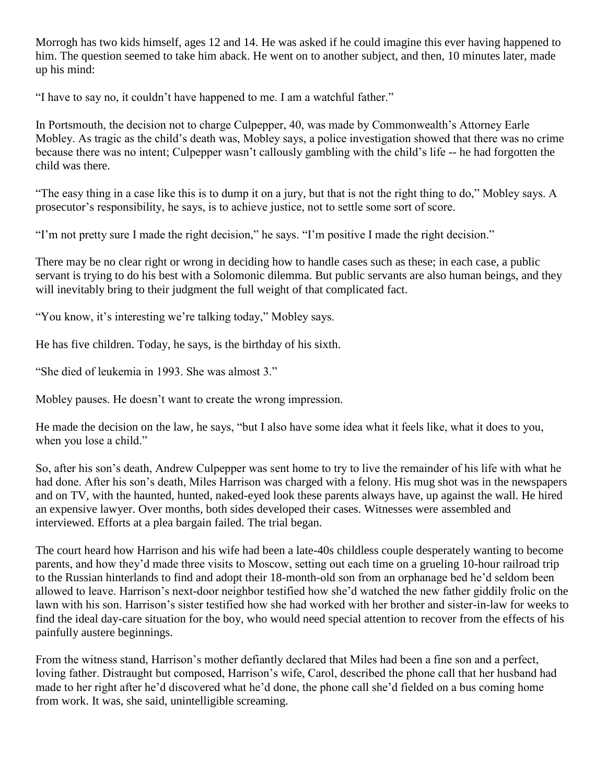Morrogh has two kids himself, ages 12 and 14. He was asked if he could imagine this ever having happened to him. The question seemed to take him aback. He went on to another subject, and then, 10 minutes later, made up his mind:

"I have to say no, it couldn't have happened to me. I am a watchful father."

In Portsmouth, the decision not to charge Culpepper, 40, was made by Commonwealth's Attorney Earle Mobley. As tragic as the child's death was, Mobley says, a police investigation showed that there was no crime because there was no intent; Culpepper wasn't callously gambling with the child's life -- he had forgotten the child was there.

"The easy thing in a case like this is to dump it on a jury, but that is not the right thing to do," Mobley says. A prosecutor's responsibility, he says, is to achieve justice, not to settle some sort of score.

"I'm not pretty sure I made the right decision," he says. "I'm positive I made the right decision."

There may be no clear right or wrong in deciding how to handle cases such as these; in each case, a public servant is trying to do his best with a Solomonic dilemma. But public servants are also human beings, and they will inevitably bring to their judgment the full weight of that complicated fact.

"You know, it's interesting we're talking today," Mobley says.

He has five children. Today, he says, is the birthday of his sixth.

"She died of leukemia in 1993. She was almost 3."

Mobley pauses. He doesn't want to create the wrong impression.

He made the decision on the law, he says, "but I also have some idea what it feels like, what it does to you, when you lose a child."

So, after his son's death, Andrew Culpepper was sent home to try to live the remainder of his life with what he had done. After his son's death, Miles Harrison was charged with a felony. His mug shot was in the newspapers and on TV, with the haunted, hunted, naked-eyed look these parents always have, up against the wall. He hired an expensive lawyer. Over months, both sides developed their cases. Witnesses were assembled and interviewed. Efforts at a plea bargain failed. The trial began.

The court heard how Harrison and his wife had been a late-40s childless couple desperately wanting to become parents, and how they'd made three visits to Moscow, setting out each time on a grueling 10-hour railroad trip to the Russian hinterlands to find and adopt their 18-month-old son from an orphanage bed he'd seldom been allowed to leave. Harrison's next-door neighbor testified how she'd watched the new father giddily frolic on the lawn with his son. Harrison's sister testified how she had worked with her brother and sister-in-law for weeks to find the ideal day-care situation for the boy, who would need special attention to recover from the effects of his painfully austere beginnings.

From the witness stand, Harrison's mother defiantly declared that Miles had been a fine son and a perfect, loving father. Distraught but composed, Harrison's wife, Carol, described the phone call that her husband had made to her right after he'd discovered what he'd done, the phone call she'd fielded on a bus coming home from work. It was, she said, unintelligible screaming.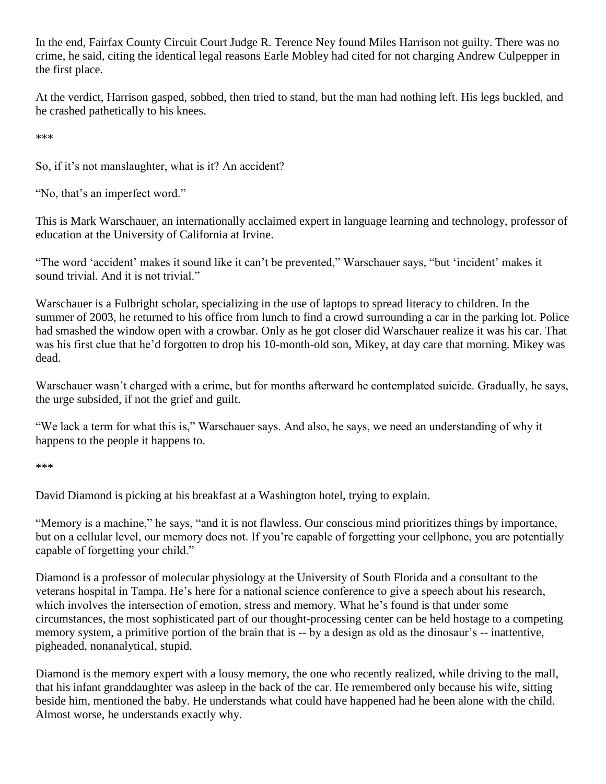In the end, Fairfax County Circuit Court Judge R. Terence Ney found Miles Harrison not guilty. There was no crime, he said, citing the identical legal reasons Earle Mobley had cited for not charging Andrew Culpepper in the first place.

At the verdict, Harrison gasped, sobbed, then tried to stand, but the man had nothing left. His legs buckled, and he crashed pathetically to his knees.

\*\*\*

So, if it's not manslaughter, what is it? An accident?

"No, that's an imperfect word."

This is Mark Warschauer, an internationally acclaimed expert in language learning and technology, professor of education at the University of California at Irvine.

"The word 'accident' makes it sound like it can't be prevented," Warschauer says, "but 'incident' makes it sound trivial. And it is not trivial."

Warschauer is a Fulbright scholar, specializing in the use of laptops to spread literacy to children. In the summer of 2003, he returned to his office from lunch to find a crowd surrounding a car in the parking lot. Police had smashed the window open with a crowbar. Only as he got closer did Warschauer realize it was his car. That was his first clue that he'd forgotten to drop his 10-month-old son, Mikey, at day care that morning. Mikey was dead.

Warschauer wasn't charged with a crime, but for months afterward he contemplated suicide. Gradually, he says, the urge subsided, if not the grief and guilt.

"We lack a term for what this is," Warschauer says. And also, he says, we need an understanding of why it happens to the people it happens to.

\*\*\*

David Diamond is picking at his breakfast at a Washington hotel, trying to explain.

"Memory is a machine," he says, "and it is not flawless. Our conscious mind prioritizes things by importance, but on a cellular level, our memory does not. If you're capable of forgetting your cellphone, you are potentially capable of forgetting your child."

Diamond is a professor of molecular physiology at the University of South Florida and a consultant to the veterans hospital in Tampa. He's here for a national science conference to give a speech about his research, which involves the intersection of emotion, stress and memory. What he's found is that under some circumstances, the most sophisticated part of our thought-processing center can be held hostage to a competing memory system, a primitive portion of the brain that is -- by a design as old as the dinosaur's -- inattentive, pigheaded, nonanalytical, stupid.

Diamond is the memory expert with a lousy memory, the one who recently realized, while driving to the mall, that his infant granddaughter was asleep in the back of the car. He remembered only because his wife, sitting beside him, mentioned the baby. He understands what could have happened had he been alone with the child. Almost worse, he understands exactly why.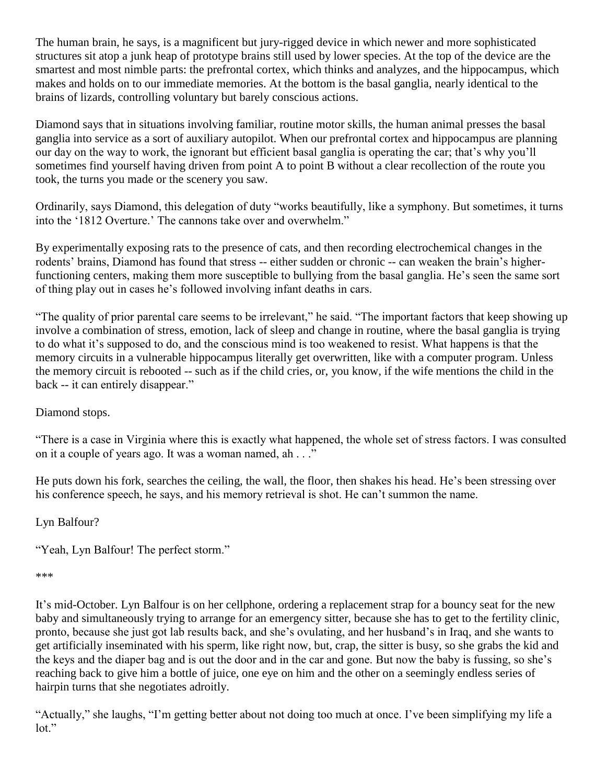The human brain, he says, is a magnificent but jury-rigged device in which newer and more sophisticated structures sit atop a junk heap of prototype brains still used by lower species. At the top of the device are the smartest and most nimble parts: the prefrontal cortex, which thinks and analyzes, and the hippocampus, which makes and holds on to our immediate memories. At the bottom is the basal ganglia, nearly identical to the brains of lizards, controlling voluntary but barely conscious actions.

Diamond says that in situations involving familiar, routine motor skills, the human animal presses the basal ganglia into service as a sort of auxiliary autopilot. When our prefrontal cortex and hippocampus are planning our day on the way to work, the ignorant but efficient basal ganglia is operating the car; that's why you'll sometimes find yourself having driven from point A to point B without a clear recollection of the route you took, the turns you made or the scenery you saw.

Ordinarily, says Diamond, this delegation of duty "works beautifully, like a symphony. But sometimes, it turns into the '1812 Overture.' The cannons take over and overwhelm."

By experimentally exposing rats to the presence of cats, and then recording electrochemical changes in the rodents' brains, Diamond has found that stress -- either sudden or chronic -- can weaken the brain's higherfunctioning centers, making them more susceptible to bullying from the basal ganglia. He's seen the same sort of thing play out in cases he's followed involving infant deaths in cars.

"The quality of prior parental care seems to be irrelevant," he said. "The important factors that keep showing up involve a combination of stress, emotion, lack of sleep and change in routine, where the basal ganglia is trying to do what it's supposed to do, and the conscious mind is too weakened to resist. What happens is that the memory circuits in a vulnerable hippocampus literally get overwritten, like with a computer program. Unless the memory circuit is rebooted -- such as if the child cries, or, you know, if the wife mentions the child in the back -- it can entirely disappear."

## Diamond stops.

"There is a case in Virginia where this is exactly what happened, the whole set of stress factors. I was consulted on it a couple of years ago. It was a woman named, ah . . ."

He puts down his fork, searches the ceiling, the wall, the floor, then shakes his head. He's been stressing over his conference speech, he says, and his memory retrieval is shot. He can't summon the name.

Lyn Balfour?

"Yeah, Lyn Balfour! The perfect storm."

\*\*\*

It's mid-October. Lyn Balfour is on her cellphone, ordering a replacement strap for a bouncy seat for the new baby and simultaneously trying to arrange for an emergency sitter, because she has to get to the fertility clinic, pronto, because she just got lab results back, and she's ovulating, and her husband's in Iraq, and she wants to get artificially inseminated with his sperm, like right now, but, crap, the sitter is busy, so she grabs the kid and the keys and the diaper bag and is out the door and in the car and gone. But now the baby is fussing, so she's reaching back to give him a bottle of juice, one eye on him and the other on a seemingly endless series of hairpin turns that she negotiates adroitly.

"Actually," she laughs, "I'm getting better about not doing too much at once. I've been simplifying my life a lot."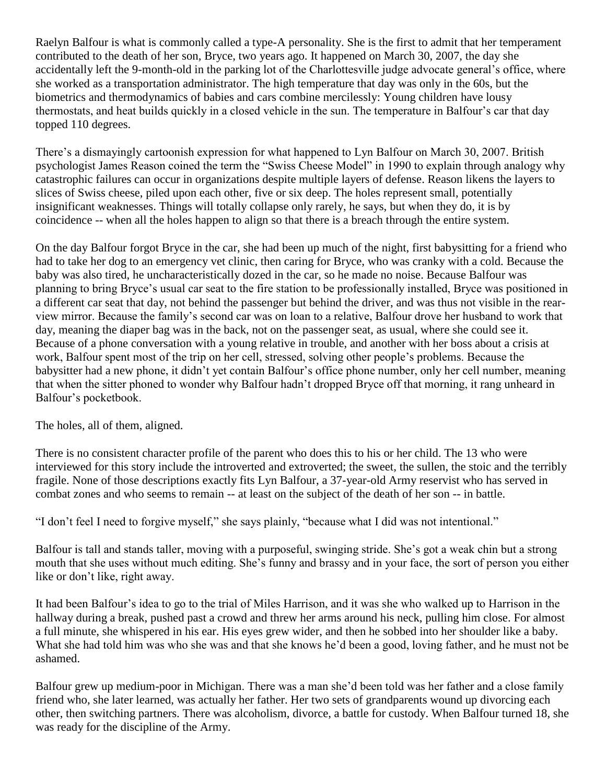Raelyn Balfour is what is commonly called a type-A personality. She is the first to admit that her temperament contributed to the death of her son, Bryce, two years ago. It happened on March 30, 2007, the day she accidentally left the 9-month-old in the parking lot of the Charlottesville judge advocate general's office, where she worked as a transportation administrator. The high temperature that day was only in the 60s, but the biometrics and thermodynamics of babies and cars combine mercilessly: Young children have lousy thermostats, and heat builds quickly in a closed vehicle in the sun. The temperature in Balfour's car that day topped 110 degrees.

There's a dismayingly cartoonish expression for what happened to Lyn Balfour on March 30, 2007. British psychologist James Reason coined the term the "Swiss Cheese Model" in 1990 to explain through analogy why catastrophic failures can occur in organizations despite multiple layers of defense. Reason likens the layers to slices of Swiss cheese, piled upon each other, five or six deep. The holes represent small, potentially insignificant weaknesses. Things will totally collapse only rarely, he says, but when they do, it is by coincidence -- when all the holes happen to align so that there is a breach through the entire system.

On the day Balfour forgot Bryce in the car, she had been up much of the night, first babysitting for a friend who had to take her dog to an emergency vet clinic, then caring for Bryce, who was cranky with a cold. Because the baby was also tired, he uncharacteristically dozed in the car, so he made no noise. Because Balfour was planning to bring Bryce's usual car seat to the fire station to be professionally installed, Bryce was positioned in a different car seat that day, not behind the passenger but behind the driver, and was thus not visible in the rearview mirror. Because the family's second car was on loan to a relative, Balfour drove her husband to work that day, meaning the diaper bag was in the back, not on the passenger seat, as usual, where she could see it. Because of a phone conversation with a young relative in trouble, and another with her boss about a crisis at work, Balfour spent most of the trip on her cell, stressed, solving other people's problems. Because the babysitter had a new phone, it didn't yet contain Balfour's office phone number, only her cell number, meaning that when the sitter phoned to wonder why Balfour hadn't dropped Bryce off that morning, it rang unheard in Balfour's pocketbook.

The holes, all of them, aligned.

There is no consistent character profile of the parent who does this to his or her child. The 13 who were interviewed for this story include the introverted and extroverted; the sweet, the sullen, the stoic and the terribly fragile. None of those descriptions exactly fits Lyn Balfour, a 37-year-old Army reservist who has served in combat zones and who seems to remain -- at least on the subject of the death of her son -- in battle.

"I don't feel I need to forgive myself," she says plainly, "because what I did was not intentional."

Balfour is tall and stands taller, moving with a purposeful, swinging stride. She's got a weak chin but a strong mouth that she uses without much editing. She's funny and brassy and in your face, the sort of person you either like or don't like, right away.

It had been Balfour's idea to go to the trial of Miles Harrison, and it was she who walked up to Harrison in the hallway during a break, pushed past a crowd and threw her arms around his neck, pulling him close. For almost a full minute, she whispered in his ear. His eyes grew wider, and then he sobbed into her shoulder like a baby. What she had told him was who she was and that she knows he'd been a good, loving father, and he must not be ashamed.

Balfour grew up medium-poor in Michigan. There was a man she'd been told was her father and a close family friend who, she later learned, was actually her father. Her two sets of grandparents wound up divorcing each other, then switching partners. There was alcoholism, divorce, a battle for custody. When Balfour turned 18, she was ready for the discipline of the Army.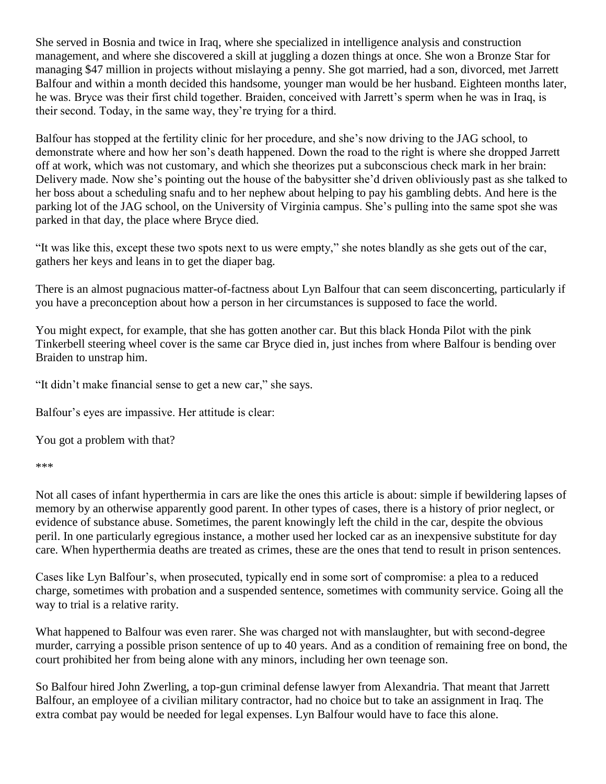She served in Bosnia and twice in Iraq, where she specialized in intelligence analysis and construction management, and where she discovered a skill at juggling a dozen things at once. She won a Bronze Star for managing \$47 million in projects without mislaying a penny. She got married, had a son, divorced, met Jarrett Balfour and within a month decided this handsome, younger man would be her husband. Eighteen months later, he was. Bryce was their first child together. Braiden, conceived with Jarrett's sperm when he was in Iraq, is their second. Today, in the same way, they're trying for a third.

Balfour has stopped at the fertility clinic for her procedure, and she's now driving to the JAG school, to demonstrate where and how her son's death happened. Down the road to the right is where she dropped Jarrett off at work, which was not customary, and which she theorizes put a subconscious check mark in her brain: Delivery made. Now she's pointing out the house of the babysitter she'd driven obliviously past as she talked to her boss about a scheduling snafu and to her nephew about helping to pay his gambling debts. And here is the parking lot of the JAG school, on the University of Virginia campus. She's pulling into the same spot she was parked in that day, the place where Bryce died.

"It was like this, except these two spots next to us were empty," she notes blandly as she gets out of the car, gathers her keys and leans in to get the diaper bag.

There is an almost pugnacious matter-of-factness about Lyn Balfour that can seem disconcerting, particularly if you have a preconception about how a person in her circumstances is supposed to face the world.

You might expect, for example, that she has gotten another car. But this black Honda Pilot with the pink Tinkerbell steering wheel cover is the same car Bryce died in, just inches from where Balfour is bending over Braiden to unstrap him.

"It didn't make financial sense to get a new car," she says.

Balfour's eyes are impassive. Her attitude is clear:

You got a problem with that?

\*\*\*

Not all cases of infant hyperthermia in cars are like the ones this article is about: simple if bewildering lapses of memory by an otherwise apparently good parent. In other types of cases, there is a history of prior neglect, or evidence of substance abuse. Sometimes, the parent knowingly left the child in the car, despite the obvious peril. In one particularly egregious instance, a mother used her locked car as an inexpensive substitute for day care. When hyperthermia deaths are treated as crimes, these are the ones that tend to result in prison sentences.

Cases like Lyn Balfour's, when prosecuted, typically end in some sort of compromise: a plea to a reduced charge, sometimes with probation and a suspended sentence, sometimes with community service. Going all the way to trial is a relative rarity.

What happened to Balfour was even rarer. She was charged not with manslaughter, but with second-degree murder, carrying a possible prison sentence of up to 40 years. And as a condition of remaining free on bond, the court prohibited her from being alone with any minors, including her own teenage son.

So Balfour hired John Zwerling, a top-gun criminal defense lawyer from Alexandria. That meant that Jarrett Balfour, an employee of a civilian military contractor, had no choice but to take an assignment in Iraq. The extra combat pay would be needed for legal expenses. Lyn Balfour would have to face this alone.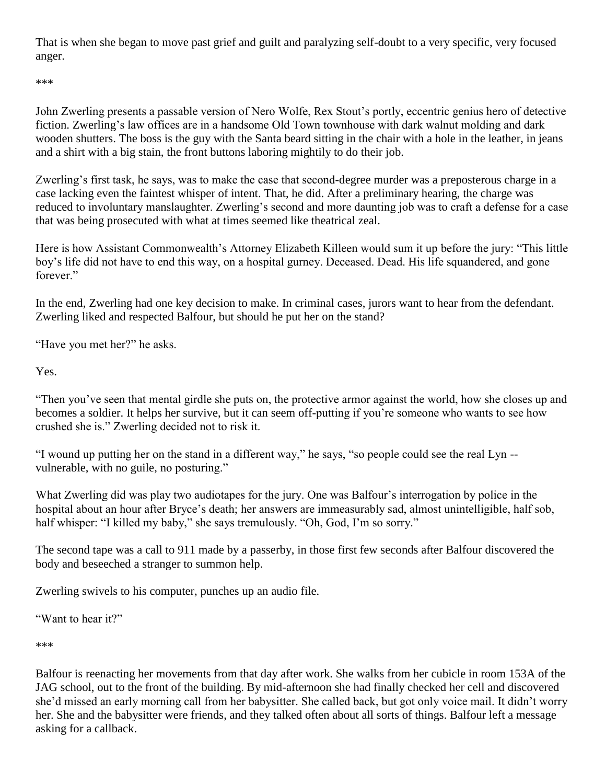That is when she began to move past grief and guilt and paralyzing self-doubt to a very specific, very focused anger.

\*\*\*

John Zwerling presents a passable version of Nero Wolfe, Rex Stout's portly, eccentric genius hero of detective fiction. Zwerling's law offices are in a handsome Old Town townhouse with dark walnut molding and dark wooden shutters. The boss is the guy with the Santa beard sitting in the chair with a hole in the leather, in jeans and a shirt with a big stain, the front buttons laboring mightily to do their job.

Zwerling's first task, he says, was to make the case that second-degree murder was a preposterous charge in a case lacking even the faintest whisper of intent. That, he did. After a preliminary hearing, the charge was reduced to involuntary manslaughter. Zwerling's second and more daunting job was to craft a defense for a case that was being prosecuted with what at times seemed like theatrical zeal.

Here is how Assistant Commonwealth's Attorney Elizabeth Killeen would sum it up before the jury: "This little boy's life did not have to end this way, on a hospital gurney. Deceased. Dead. His life squandered, and gone forever."

In the end, Zwerling had one key decision to make. In criminal cases, jurors want to hear from the defendant. Zwerling liked and respected Balfour, but should he put her on the stand?

"Have you met her?" he asks.

Yes.

"Then you've seen that mental girdle she puts on, the protective armor against the world, how she closes up and becomes a soldier. It helps her survive, but it can seem off-putting if you're someone who wants to see how crushed she is." Zwerling decided not to risk it.

"I wound up putting her on the stand in a different way," he says, "so people could see the real Lyn - vulnerable, with no guile, no posturing."

What Zwerling did was play two audiotapes for the jury. One was Balfour's interrogation by police in the hospital about an hour after Bryce's death; her answers are immeasurably sad, almost unintelligible, half sob, half whisper: "I killed my baby," she says tremulously. "Oh, God, I'm so sorry."

The second tape was a call to 911 made by a passerby, in those first few seconds after Balfour discovered the body and beseeched a stranger to summon help.

Zwerling swivels to his computer, punches up an audio file.

"Want to hear it?"

\*\*\*

Balfour is reenacting her movements from that day after work. She walks from her cubicle in room 153A of the JAG school, out to the front of the building. By mid-afternoon she had finally checked her cell and discovered she'd missed an early morning call from her babysitter. She called back, but got only voice mail. It didn't worry her. She and the babysitter were friends, and they talked often about all sorts of things. Balfour left a message asking for a callback.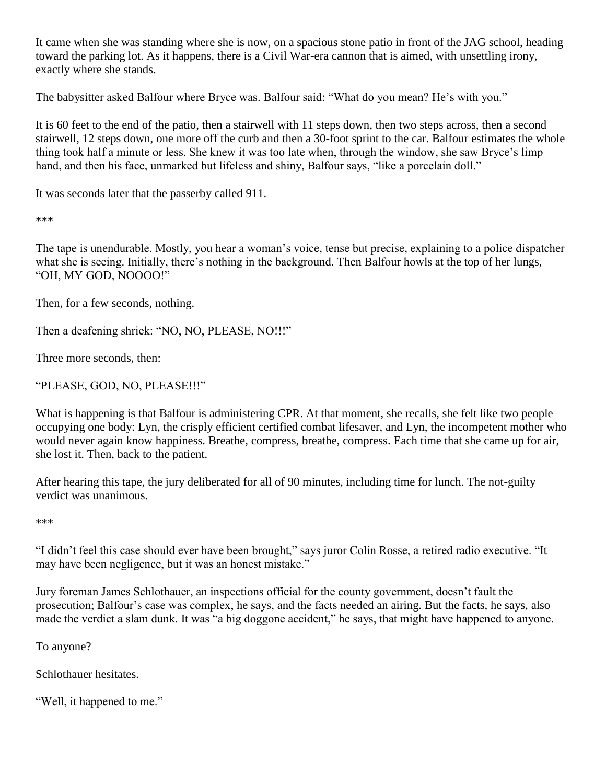It came when she was standing where she is now, on a spacious stone patio in front of the JAG school, heading toward the parking lot. As it happens, there is a Civil War-era cannon that is aimed, with unsettling irony, exactly where she stands.

The babysitter asked Balfour where Bryce was. Balfour said: "What do you mean? He's with you."

It is 60 feet to the end of the patio, then a stairwell with 11 steps down, then two steps across, then a second stairwell, 12 steps down, one more off the curb and then a 30-foot sprint to the car. Balfour estimates the whole thing took half a minute or less. She knew it was too late when, through the window, she saw Bryce's limp hand, and then his face, unmarked but lifeless and shiny, Balfour says, "like a porcelain doll."

It was seconds later that the passerby called 911.

\*\*\*

The tape is unendurable. Mostly, you hear a woman's voice, tense but precise, explaining to a police dispatcher what she is seeing. Initially, there's nothing in the background. Then Balfour howls at the top of her lungs, "OH, MY GOD, NOOOO!"

Then, for a few seconds, nothing.

Then a deafening shriek: "NO, NO, PLEASE, NO!!!"

Three more seconds, then:

"PLEASE, GOD, NO, PLEASE!!!"

What is happening is that Balfour is administering CPR. At that moment, she recalls, she felt like two people occupying one body: Lyn, the crisply efficient certified combat lifesaver, and Lyn, the incompetent mother who would never again know happiness. Breathe, compress, breathe, compress. Each time that she came up for air, she lost it. Then, back to the patient.

After hearing this tape, the jury deliberated for all of 90 minutes, including time for lunch. The not-guilty verdict was unanimous.

\*\*\*

"I didn't feel this case should ever have been brought," says juror Colin Rosse, a retired radio executive. "It may have been negligence, but it was an honest mistake."

Jury foreman James Schlothauer, an inspections official for the county government, doesn't fault the prosecution; Balfour's case was complex, he says, and the facts needed an airing. But the facts, he says, also made the verdict a slam dunk. It was "a big doggone accident," he says, that might have happened to anyone.

To anyone?

Schlothauer hesitates.

"Well, it happened to me."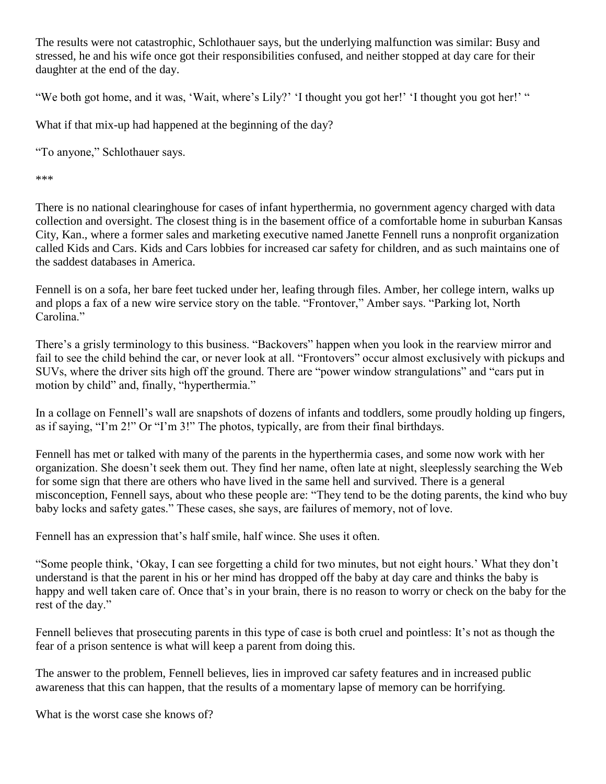The results were not catastrophic, Schlothauer says, but the underlying malfunction was similar: Busy and stressed, he and his wife once got their responsibilities confused, and neither stopped at day care for their daughter at the end of the day.

"We both got home, and it was, 'Wait, where's Lily?' 'I thought you got her!' 'I thought you got her!' "

What if that mix-up had happened at the beginning of the day?

"To anyone," Schlothauer says.

\*\*\*

There is no national clearinghouse for cases of infant hyperthermia, no government agency charged with data collection and oversight. The closest thing is in the basement office of a comfortable home in suburban Kansas City, Kan., where a former sales and marketing executive named Janette Fennell runs a nonprofit organization called Kids and Cars. Kids and Cars lobbies for increased car safety for children, and as such maintains one of the saddest databases in America.

Fennell is on a sofa, her bare feet tucked under her, leafing through files. Amber, her college intern, walks up and plops a fax of a new wire service story on the table. "Frontover," Amber says. "Parking lot, North Carolina."

There's a grisly terminology to this business. "Backovers" happen when you look in the rearview mirror and fail to see the child behind the car, or never look at all. "Frontovers" occur almost exclusively with pickups and SUVs, where the driver sits high off the ground. There are "power window strangulations" and "cars put in motion by child" and, finally, "hyperthermia."

In a collage on Fennell's wall are snapshots of dozens of infants and toddlers, some proudly holding up fingers, as if saying, "I'm 2!" Or "I'm 3!" The photos, typically, are from their final birthdays.

Fennell has met or talked with many of the parents in the hyperthermia cases, and some now work with her organization. She doesn't seek them out. They find her name, often late at night, sleeplessly searching the Web for some sign that there are others who have lived in the same hell and survived. There is a general misconception, Fennell says, about who these people are: "They tend to be the doting parents, the kind who buy baby locks and safety gates." These cases, she says, are failures of memory, not of love.

Fennell has an expression that's half smile, half wince. She uses it often.

"Some people think, 'Okay, I can see forgetting a child for two minutes, but not eight hours.' What they don't understand is that the parent in his or her mind has dropped off the baby at day care and thinks the baby is happy and well taken care of. Once that's in your brain, there is no reason to worry or check on the baby for the rest of the day."

Fennell believes that prosecuting parents in this type of case is both cruel and pointless: It's not as though the fear of a prison sentence is what will keep a parent from doing this.

The answer to the problem, Fennell believes, lies in improved car safety features and in increased public awareness that this can happen, that the results of a momentary lapse of memory can be horrifying.

What is the worst case she knows of?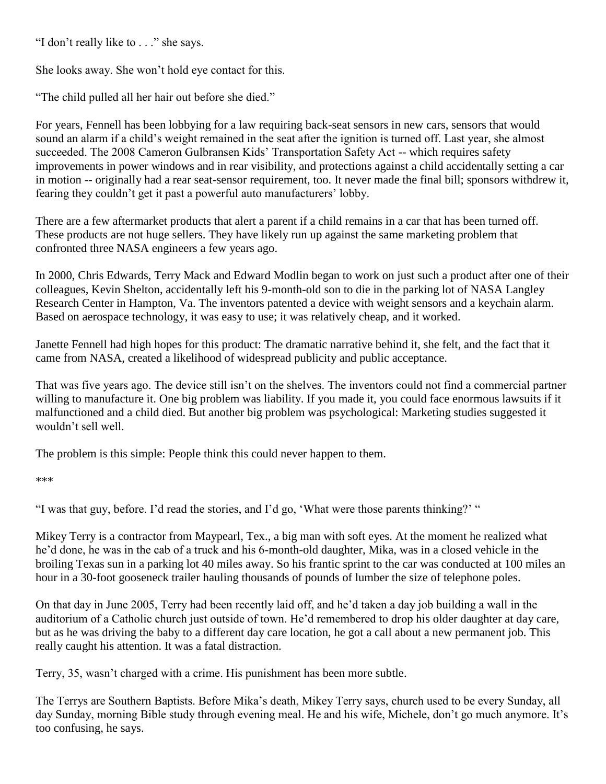"I don't really like to . . ." she says.

She looks away. She won't hold eye contact for this.

"The child pulled all her hair out before she died."

For years, Fennell has been lobbying for a law requiring back-seat sensors in new cars, sensors that would sound an alarm if a child's weight remained in the seat after the ignition is turned off. Last year, she almost succeeded. The 2008 Cameron Gulbransen Kids' Transportation Safety Act -- which requires safety improvements in power windows and in rear visibility, and protections against a child accidentally setting a car in motion -- originally had a rear seat-sensor requirement, too. It never made the final bill; sponsors withdrew it, fearing they couldn't get it past a powerful auto manufacturers' lobby.

There are a few aftermarket products that alert a parent if a child remains in a car that has been turned off. These products are not huge sellers. They have likely run up against the same marketing problem that confronted three NASA engineers a few years ago.

In 2000, Chris Edwards, Terry Mack and Edward Modlin began to work on just such a product after one of their colleagues, Kevin Shelton, accidentally left his 9-month-old son to die in the parking lot of NASA Langley Research Center in Hampton, Va. The inventors patented a device with weight sensors and a keychain alarm. Based on aerospace technology, it was easy to use; it was relatively cheap, and it worked.

Janette Fennell had high hopes for this product: The dramatic narrative behind it, she felt, and the fact that it came from NASA, created a likelihood of widespread publicity and public acceptance.

That was five years ago. The device still isn't on the shelves. The inventors could not find a commercial partner willing to manufacture it. One big problem was liability. If you made it, you could face enormous lawsuits if it malfunctioned and a child died. But another big problem was psychological: Marketing studies suggested it wouldn't sell well.

The problem is this simple: People think this could never happen to them.

\*\*\*

"I was that guy, before. I'd read the stories, and I'd go, 'What were those parents thinking?' "

Mikey Terry is a contractor from Maypearl, Tex., a big man with soft eyes. At the moment he realized what he'd done, he was in the cab of a truck and his 6-month-old daughter, Mika, was in a closed vehicle in the broiling Texas sun in a parking lot 40 miles away. So his frantic sprint to the car was conducted at 100 miles an hour in a 30-foot gooseneck trailer hauling thousands of pounds of lumber the size of telephone poles.

On that day in June 2005, Terry had been recently laid off, and he'd taken a day job building a wall in the auditorium of a Catholic church just outside of town. He'd remembered to drop his older daughter at day care, but as he was driving the baby to a different day care location, he got a call about a new permanent job. This really caught his attention. It was a fatal distraction.

Terry, 35, wasn't charged with a crime. His punishment has been more subtle.

The Terrys are Southern Baptists. Before Mika's death, Mikey Terry says, church used to be every Sunday, all day Sunday, morning Bible study through evening meal. He and his wife, Michele, don't go much anymore. It's too confusing, he says.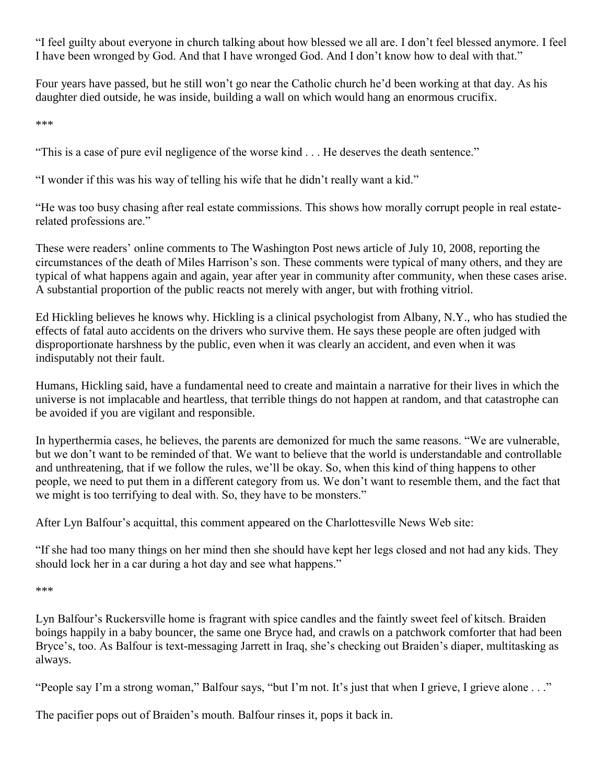"I feel guilty about everyone in church talking about how blessed we all are. I don't feel blessed anymore. I feel I have been wronged by God. And that I have wronged God. And I don't know how to deal with that."

Four years have passed, but he still won't go near the Catholic church he'd been working at that day. As his daughter died outside, he was inside, building a wall on which would hang an enormous crucifix.

\*\*\*

"This is a case of pure evil negligence of the worse kind . . . He deserves the death sentence."

"I wonder if this was his way of telling his wife that he didn't really want a kid."

"He was too busy chasing after real estate commissions. This shows how morally corrupt people in real estaterelated professions are."

These were readers' online comments to The Washington Post news article of July 10, 2008, reporting the circumstances of the death of Miles Harrison's son. These comments were typical of many others, and they are typical of what happens again and again, year after year in community after community, when these cases arise. A substantial proportion of the public reacts not merely with anger, but with frothing vitriol.

Ed Hickling believes he knows why. Hickling is a clinical psychologist from Albany, N.Y., who has studied the effects of fatal auto accidents on the drivers who survive them. He says these people are often judged with disproportionate harshness by the public, even when it was clearly an accident, and even when it was indisputably not their fault.

Humans, Hickling said, have a fundamental need to create and maintain a narrative for their lives in which the universe is not implacable and heartless, that terrible things do not happen at random, and that catastrophe can be avoided if you are vigilant and responsible.

In hyperthermia cases, he believes, the parents are demonized for much the same reasons. "We are vulnerable, but we don't want to be reminded of that. We want to believe that the world is understandable and controllable and unthreatening, that if we follow the rules, we'll be okay. So, when this kind of thing happens to other people, we need to put them in a different category from us. We don't want to resemble them, and the fact that we might is too terrifying to deal with. So, they have to be monsters."

After Lyn Balfour's acquittal, this comment appeared on the Charlottesville News Web site:

"If she had too many things on her mind then she should have kept her legs closed and not had any kids. They should lock her in a car during a hot day and see what happens."

\*\*\*

Lyn Balfour's Ruckersville home is fragrant with spice candles and the faintly sweet feel of kitsch. Braiden boings happily in a baby bouncer, the same one Bryce had, and crawls on a patchwork comforter that had been Bryce's, too. As Balfour is text-messaging Jarrett in Iraq, she's checking out Braiden's diaper, multitasking as always.

"People say I'm a strong woman," Balfour says, "but I'm not. It's just that when I grieve, I grieve alone . . ."

The pacifier pops out of Braiden's mouth. Balfour rinses it, pops it back in.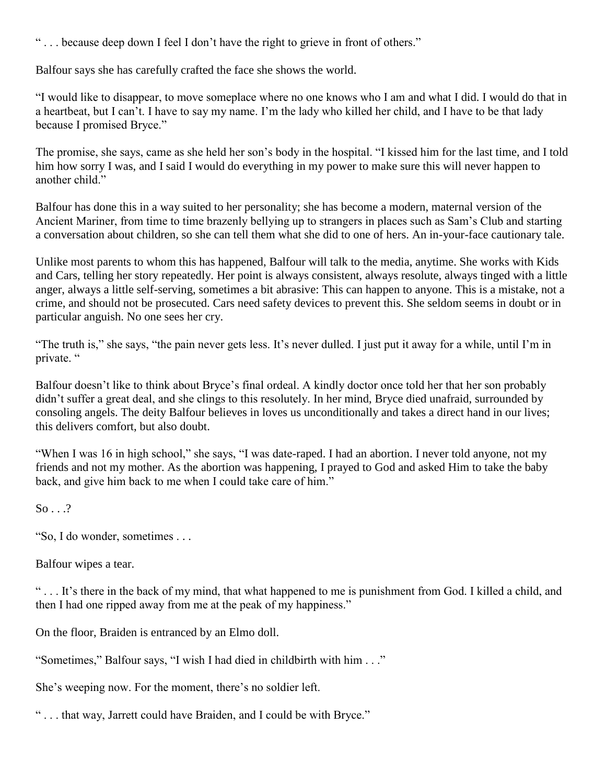" . . . because deep down I feel I don't have the right to grieve in front of others."

Balfour says she has carefully crafted the face she shows the world.

"I would like to disappear, to move someplace where no one knows who I am and what I did. I would do that in a heartbeat, but I can't. I have to say my name. I'm the lady who killed her child, and I have to be that lady because I promised Bryce."

The promise, she says, came as she held her son's body in the hospital. "I kissed him for the last time, and I told him how sorry I was, and I said I would do everything in my power to make sure this will never happen to another child."

Balfour has done this in a way suited to her personality; she has become a modern, maternal version of the Ancient Mariner, from time to time brazenly bellying up to strangers in places such as Sam's Club and starting a conversation about children, so she can tell them what she did to one of hers. An in-your-face cautionary tale.

Unlike most parents to whom this has happened, Balfour will talk to the media, anytime. She works with Kids and Cars, telling her story repeatedly. Her point is always consistent, always resolute, always tinged with a little anger, always a little self-serving, sometimes a bit abrasive: This can happen to anyone. This is a mistake, not a crime, and should not be prosecuted. Cars need safety devices to prevent this. She seldom seems in doubt or in particular anguish. No one sees her cry.

"The truth is," she says, "the pain never gets less. It's never dulled. I just put it away for a while, until I'm in private. "

Balfour doesn't like to think about Bryce's final ordeal. A kindly doctor once told her that her son probably didn't suffer a great deal, and she clings to this resolutely. In her mind, Bryce died unafraid, surrounded by consoling angels. The deity Balfour believes in loves us unconditionally and takes a direct hand in our lives; this delivers comfort, but also doubt.

"When I was 16 in high school," she says, "I was date-raped. I had an abortion. I never told anyone, not my friends and not my mother. As the abortion was happening, I prayed to God and asked Him to take the baby back, and give him back to me when I could take care of him."

 $\text{So} \dots$ ?

"So, I do wonder, sometimes . . .

Balfour wipes a tear.

" . . . It's there in the back of my mind, that what happened to me is punishment from God. I killed a child, and then I had one ripped away from me at the peak of my happiness."

On the floor, Braiden is entranced by an Elmo doll.

"Sometimes," Balfour says, "I wish I had died in childbirth with him . . ."

She's weeping now. For the moment, there's no soldier left.

" . . . that way, Jarrett could have Braiden, and I could be with Bryce."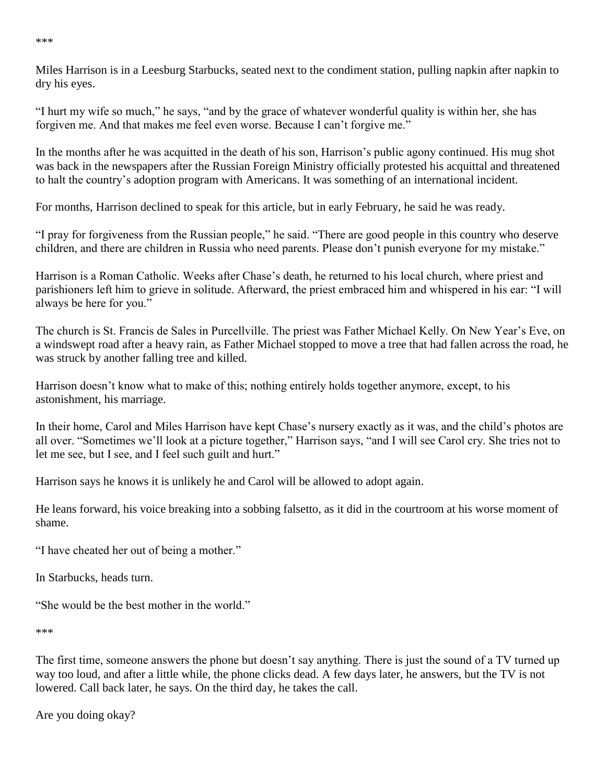Miles Harrison is in a Leesburg Starbucks, seated next to the condiment station, pulling napkin after napkin to dry his eyes.

"I hurt my wife so much," he says, "and by the grace of whatever wonderful quality is within her, she has forgiven me. And that makes me feel even worse. Because I can't forgive me."

In the months after he was acquitted in the death of his son, Harrison's public agony continued. His mug shot was back in the newspapers after the Russian Foreign Ministry officially protested his acquittal and threatened to halt the country's adoption program with Americans. It was something of an international incident.

For months, Harrison declined to speak for this article, but in early February, he said he was ready.

"I pray for forgiveness from the Russian people," he said. "There are good people in this country who deserve children, and there are children in Russia who need parents. Please don't punish everyone for my mistake."

Harrison is a Roman Catholic. Weeks after Chase's death, he returned to his local church, where priest and parishioners left him to grieve in solitude. Afterward, the priest embraced him and whispered in his ear: "I will always be here for you."

The church is St. Francis de Sales in Purcellville. The priest was Father Michael Kelly. On New Year's Eve, on a windswept road after a heavy rain, as Father Michael stopped to move a tree that had fallen across the road, he was struck by another falling tree and killed.

Harrison doesn't know what to make of this; nothing entirely holds together anymore, except, to his astonishment, his marriage.

In their home, Carol and Miles Harrison have kept Chase's nursery exactly as it was, and the child's photos are all over. "Sometimes we'll look at a picture together," Harrison says, "and I will see Carol cry. She tries not to let me see, but I see, and I feel such guilt and hurt."

Harrison says he knows it is unlikely he and Carol will be allowed to adopt again.

He leans forward, his voice breaking into a sobbing falsetto, as it did in the courtroom at his worse moment of shame.

"I have cheated her out of being a mother."

In Starbucks, heads turn.

"She would be the best mother in the world."

\*\*\*

The first time, someone answers the phone but doesn't say anything. There is just the sound of a TV turned up way too loud, and after a little while, the phone clicks dead. A few days later, he answers, but the TV is not lowered. Call back later, he says. On the third day, he takes the call.

Are you doing okay?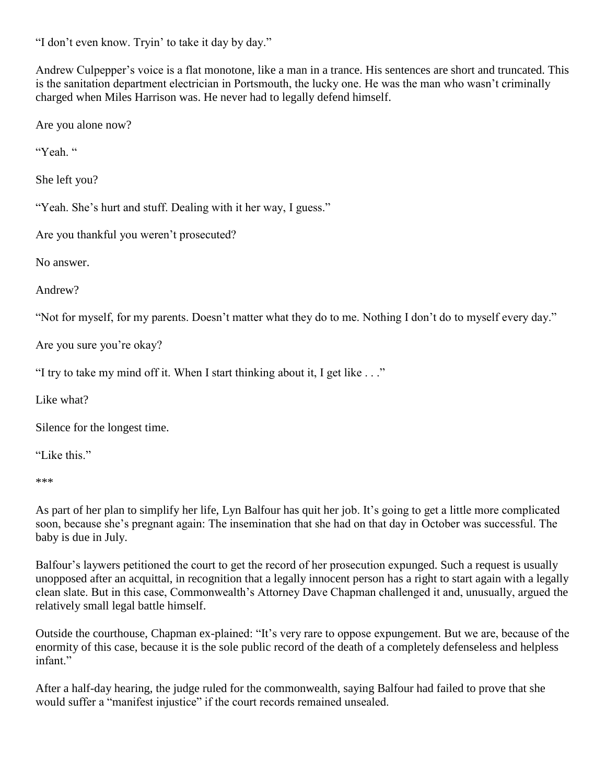"I don't even know. Tryin' to take it day by day."

Andrew Culpepper's voice is a flat monotone, like a man in a trance. His sentences are short and truncated. This is the sanitation department electrician in Portsmouth, the lucky one. He was the man who wasn't criminally charged when Miles Harrison was. He never had to legally defend himself.

Are you alone now?

"Yeah"

She left you?

"Yeah. She's hurt and stuff. Dealing with it her way, I guess."

Are you thankful you weren't prosecuted?

No answer.

Andrew?

"Not for myself, for my parents. Doesn't matter what they do to me. Nothing I don't do to myself every day."

Are you sure you're okay?

"I try to take my mind off it. When I start thinking about it, I get like . . ."

Like what?

Silence for the longest time.

"Like this"

\*\*\*

As part of her plan to simplify her life, Lyn Balfour has quit her job. It's going to get a little more complicated soon, because she's pregnant again: The insemination that she had on that day in October was successful. The baby is due in July.

Balfour's laywers petitioned the court to get the record of her prosecution expunged. Such a request is usually unopposed after an acquittal, in recognition that a legally innocent person has a right to start again with a legally clean slate. But in this case, Commonwealth's Attorney Dave Chapman challenged it and, unusually, argued the relatively small legal battle himself.

Outside the courthouse, Chapman ex-plained: "It's very rare to oppose expungement. But we are, because of the enormity of this case, because it is the sole public record of the death of a completely defenseless and helpless infant"

After a half-day hearing, the judge ruled for the commonwealth, saying Balfour had failed to prove that she would suffer a "manifest injustice" if the court records remained unsealed.